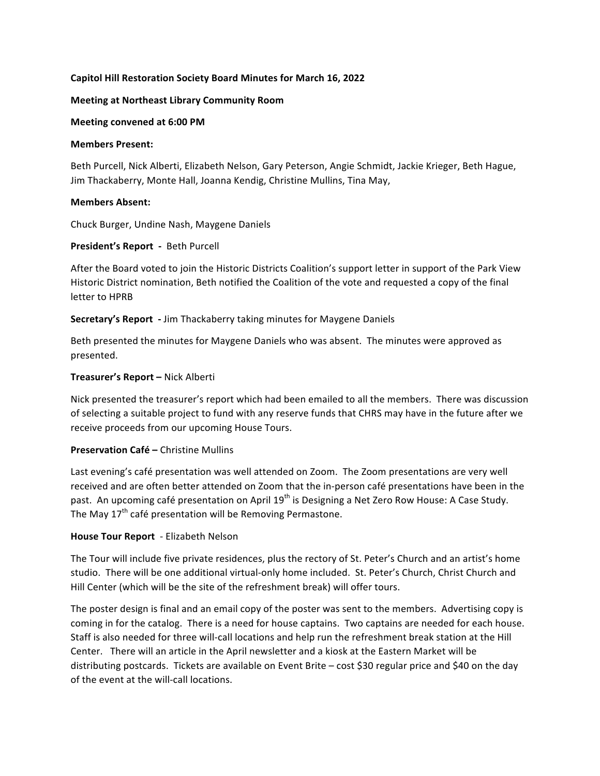## Capitol Hill Restoration Society Board Minutes for March 16, 2022

#### **Meeting at Northeast Library Community Room**

#### **Meeting convened at 6:00 PM**

#### **Members Present:**

Beth Purcell, Nick Alberti, Elizabeth Nelson, Gary Peterson, Angie Schmidt, Jackie Krieger, Beth Hague, Jim Thackaberry, Monte Hall, Joanna Kendig, Christine Mullins, Tina May,

#### **Members Absent:**

Chuck Burger, Undine Nash, Maygene Daniels

#### **President's Report - Beth Purcell**

After the Board voted to join the Historic Districts Coalition's support letter in support of the Park View Historic District nomination, Beth notified the Coalition of the vote and requested a copy of the final letter to HPRB

**Secretary's Report** - Jim Thackaberry taking minutes for Maygene Daniels

Beth presented the minutes for Maygene Daniels who was absent. The minutes were approved as presented.

### **Treasurer's Report - Nick Alberti**

Nick presented the treasurer's report which had been emailed to all the members. There was discussion of selecting a suitable project to fund with any reserve funds that CHRS may have in the future after we receive proceeds from our upcoming House Tours.

### **Preservation Café – Christine Mullins**

Last evening's café presentation was well attended on Zoom. The Zoom presentations are very well received and are often better attended on Zoom that the in-person café presentations have been in the past. An upcoming café presentation on April 19<sup>th</sup> is Designing a Net Zero Row House: A Case Study. The May  $17<sup>th</sup>$  café presentation will be Removing Permastone.

### **House Tour Report** - Elizabeth Nelson

The Tour will include five private residences, plus the rectory of St. Peter's Church and an artist's home studio. There will be one additional virtual-only home included. St. Peter's Church, Christ Church and Hill Center (which will be the site of the refreshment break) will offer tours.

The poster design is final and an email copy of the poster was sent to the members. Advertising copy is coming in for the catalog. There is a need for house captains. Two captains are needed for each house. Staff is also needed for three will-call locations and help run the refreshment break station at the Hill Center. There will an article in the April newsletter and a kiosk at the Eastern Market will be distributing postcards. Tickets are available on Event Brite - cost \$30 regular price and \$40 on the day of the event at the will-call locations.